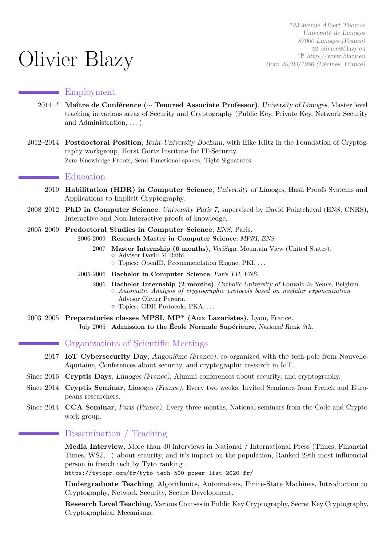# Olivier Blazy

123 avenue Albert Thomas Université de Limoges 87000 Limoges (France) B [olivier@blazy.eu](mailto:olivier@blazy.eu)  $\hat{\mathbb{E}}$  [http://www.blazy.eu](http://http://www.blazy.eu) Born 20/03/1986 (Décines, France)

#### Employment

- 2014–\* **Maître de Conférence (**∼ **Tenured Associate Professor)**, University of Limoges, Master level teaching in various areas of Security and Cryptography (Public Key, Private Key, Network Security and Administration, . . . ).
- 2012–2014 **Postdoctoral Position**, Ruhr-University Bochum, with Eike Kiltz in the Foundation of Cryptography workgroup, Horst Görtz Institute for IT-Security. Zero-Knowledge Proofs, Semi-Functional spaces, Tight Signatures

#### **Executed** Education

- 2019 **Habilitation (HDR) in Computer Science**, University of Limoges, Hash Proofs Systems and Applications to Implicit Cryptography.
- 2008–2012 **PhD in Computer Science**, University Paris 7, supervised by David Pointcheval (ENS, CNRS), Interactive and Non-Interactive proofs of knowledge.
- 2005–2009 **Predoctoral Studies in Computer Science**, ENS, Paris. 2006-2009 **Research Master in Computer Science**, MPRI, ENS.
	- 2007 **Master Internship (6 months)**, VeriSign, Mountain View (United States). { Advisor David M'Raihi.
		- $\circ$  Topics: OpenID, Recommendation Engine, PKI, ...
	- 2005-2006 **Bachelor in Computer Science**, Paris VII, ENS.
		- 2006 **Bachelor Internship (2 months)**, Catholic University of Louvain-la-Neuve, Belgium. { *Automatic Analysis of cryptographic protocols based on modular exponentiation* Advisor Olivier Pereira.
			- $\circ$  Topics: GDH Protocols, PKA, ...
- 2003–2005 **Preparatories classes MPSI, MP\* (Aux Lazaristes)**, Lyon, France. July 2005 **Admission to the École Normale Supérieure**, National Rank 9th.

# Organizations of Scientific Meetings

- 2017 **IoT Cybersecurity Day**, Angoulême (France), co-organized with the tech-pole from Nouvelle-Aquitaine, Conferences about security, and cryptographic research in IoT.
- Since 2016 **Cryptis Days**, Limoges (France), Alumni conferences about security, and cryptography.
- Since 2014 **Cryptis Seminar**, Limoges (France), Every two weeks, Invited Seminars from French and Europeans researchers.
- Since 2014 **CCA Seminar**, Paris (France), Every three months, National seminars from the Code and Crypto work group.

#### Dissemination / Teaching

**Media Interview**, More than 30 interviews in National / International Press (Times, Financial Times, WSJ,...) about security, and it's impact on the population, Ranked 29th most influencial person in french tech by Tyto ranking .

<https://tytopr.com/fr/tyto-tech-500-power-list-2020-fr/>

**Undergraduate Teaching**, Algorithmics, Automatons, Finite-State Machines, Introduction to Cryptography, Network Security, Secure Development.

**Research Level Teaching**, Various Courses in Public Key Cryptography, Secret Key Cryptography, Cryptographical Mecanisms.